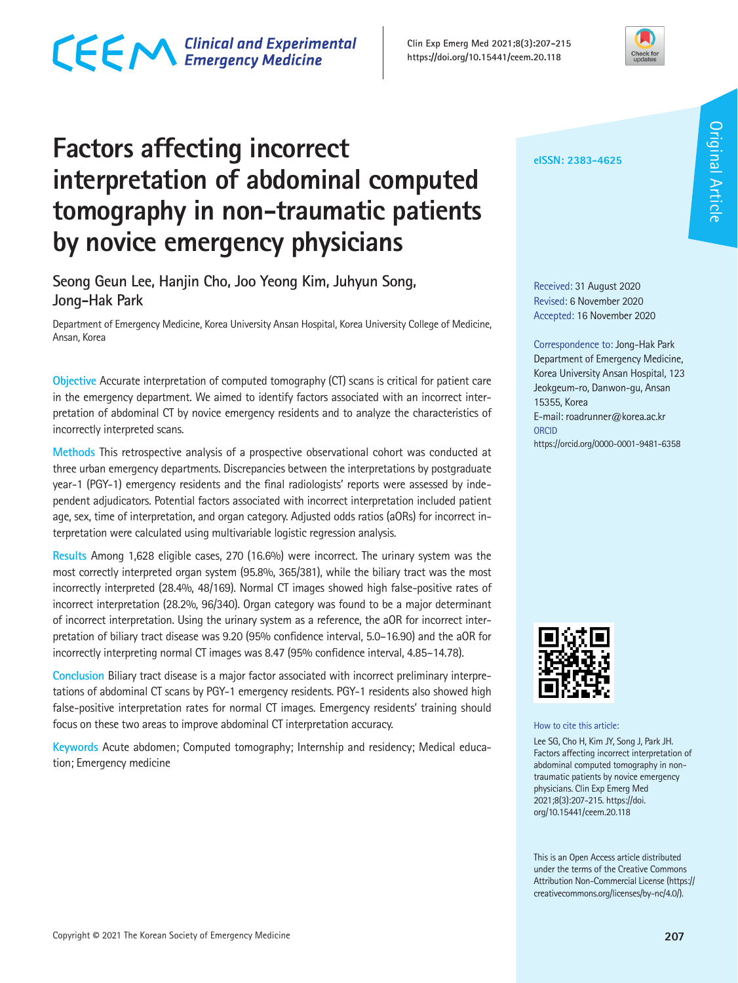#### Copyright **©** 2021 The Korean Society of Emergency Medicine **207**

### **Factors affecting incorrect interpretation of abdominal computed tomography in non-traumatic patients by novice emergency physicians**

**Seong Geun Lee, Hanjin Cho, Joo Yeong Kim, Juhyun Song, Jong-Hak Park**

Department of Emergency Medicine, Korea University Ansan Hospital, Korea University College of Medicine, Ansan, Korea

**Objective** Accurate interpretation of computed tomography (CT) scans is critical for patient care in the emergency department. We aimed to identify factors associated with an incorrect interpretation of abdominal CT by novice emergency residents and to analyze the characteristics of incorrectly interpreted scans.

**Methods** This retrospective analysis of a prospective observational cohort was conducted at three urban emergency departments. Discrepancies between the interpretations by postgraduate year-1 (PGY-1) emergency residents and the final radiologists' reports were assessed by independent adjudicators. Potential factors associated with incorrect interpretation included patient age, sex, time of interpretation, and organ category. Adjusted odds ratios (aORs) for incorrect interpretation were calculated using multivariable logistic regression analysis.

**Results** Among 1,628 eligible cases, 270 (16.6%) were incorrect. The urinary system was the most correctly interpreted organ system (95.8%, 365/381), while the biliary tract was the most incorrectly interpreted (28.4%, 48/169). Normal CT images showed high false-positive rates of incorrect interpretation (28.2%, 96/340). Organ category was found to be a major determinant of incorrect interpretation. Using the urinary system as a reference, the aOR for incorrect interpretation of biliary tract disease was 9.20 (95% confidence interval, 5.0–16.90) and the aOR for incorrectly interpreting normal CT images was 8.47 (95% confidence interval, 4.85–14.78).

**Conclusion** Biliary tract disease is a major factor associated with incorrect preliminary interpretations of abdominal CT scans by PGY-1 emergency residents. PGY-1 residents also showed high false-positive interpretation rates for normal CT images. Emergency residents' training should focus on these two areas to improve abdominal CT interpretation accuracy.

**Keywords** Acute abdomen; Computed tomography; Internship and residency; Medical education; Emergency medicine

**eISSN: 2383-4625**

Received: 31 August 2020 Revised: 6 November 2020 Accepted: 16 November 2020

Correspondence to: Jong-Hak Park Department of Emergency Medicine, Korea University Ansan Hospital, 123 Jeokgeum-ro, Danwon-gu, Ansan 15355, Korea E-mail: roadrunner@korea.ac.kr **ORCID** https://orcid.org/0000-0001-9481-6358



How to cite this article:

Lee SG, Cho H, Kim JY, Song J, Park JH. Factors affecting incorrect interpretation of abdominal computed tomography in nontraumatic patients by novice emergency physicians. Clin Exp Emerg Med 2021;8(3):207-215. https://doi. org/10.15441/ceem.20.118

This is an Open Access article distributed under the terms of the Creative Commons Attribution Non-Commercial License (https:// creativecommons.org/licenses/by-nc/4.0/).

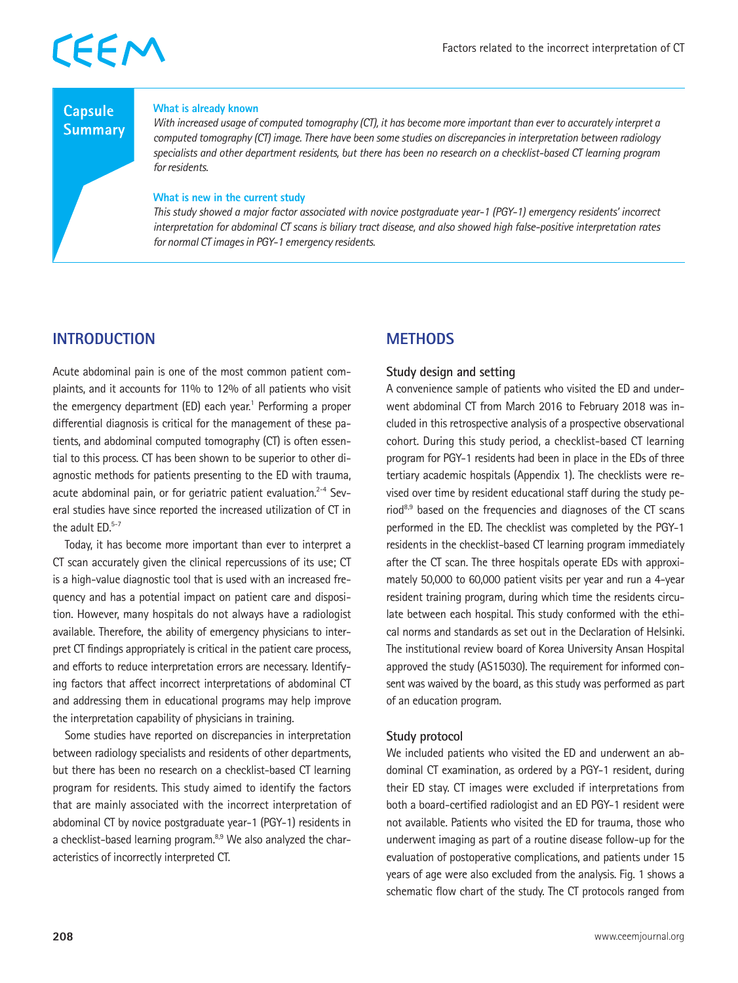### **Capsule Summary**

### **What is already known**

*With increased usage of computed tomography (CT), it has become more important than ever to accurately interpret a computed tomography (CT) image. There have been some studies on discrepancies in interpretation between radiology specialists and other department residents, but there has been no research on a checklist-based CT learning program for residents.* 

### **What is new in the current study**

*This study showed a major factor associated with novice postgraduate year-1 (PGY-1) emergency residents' incorrect interpretation for abdominal CT scans is biliary tract disease, and also showed high false-positive interpretation rates for normal CT images in PGY-1 emergency residents.* 

### **INTRODUCTION**

Acute abdominal pain is one of the most common patient complaints, and it accounts for 11% to 12% of all patients who visit the emergency department (ED) each year.<sup>1</sup> Performing a proper differential diagnosis is critical for the management of these patients, and abdominal computed tomography (CT) is often essential to this process. CT has been shown to be superior to other diagnostic methods for patients presenting to the ED with trauma, acute abdominal pain, or for geriatric patient evaluation.<sup>2-4</sup> Several studies have since reported the increased utilization of CT in the adult ED.5-7

Today, it has become more important than ever to interpret a CT scan accurately given the clinical repercussions of its use; CT is a high-value diagnostic tool that is used with an increased frequency and has a potential impact on patient care and disposition. However, many hospitals do not always have a radiologist available. Therefore, the ability of emergency physicians to interpret CT findings appropriately is critical in the patient care process, and efforts to reduce interpretation errors are necessary. Identifying factors that affect incorrect interpretations of abdominal CT and addressing them in educational programs may help improve the interpretation capability of physicians in training.

Some studies have reported on discrepancies in interpretation between radiology specialists and residents of other departments, but there has been no research on a checklist-based CT learning program for residents. This study aimed to identify the factors that are mainly associated with the incorrect interpretation of abdominal CT by novice postgraduate year-1 (PGY-1) residents in a checklist-based learning program.<sup>8,9</sup> We also analyzed the characteristics of incorrectly interpreted CT.

### **METHODS**

### **Study design and setting**

A convenience sample of patients who visited the ED and underwent abdominal CT from March 2016 to February 2018 was included in this retrospective analysis of a prospective observational cohort. During this study period, a checklist-based CT learning program for PGY-1 residents had been in place in the EDs of three tertiary academic hospitals (Appendix 1). The checklists were revised over time by resident educational staff during the study pe $riod<sup>8,9</sup>$  based on the frequencies and diagnoses of the CT scans performed in the ED. The checklist was completed by the PGY-1 residents in the checklist-based CT learning program immediately after the CT scan. The three hospitals operate EDs with approximately 50,000 to 60,000 patient visits per year and run a 4-year resident training program, during which time the residents circulate between each hospital. This study conformed with the ethical norms and standards as set out in the Declaration of Helsinki. The institutional review board of Korea University Ansan Hospital approved the study (AS15030). The requirement for informed consent was waived by the board, as this study was performed as part of an education program.

### **Study protocol**

We included patients who visited the ED and underwent an abdominal CT examination, as ordered by a PGY-1 resident, during their ED stay. CT images were excluded if interpretations from both a board-certified radiologist and an ED PGY-1 resident were not available. Patients who visited the ED for trauma, those who underwent imaging as part of a routine disease follow-up for the evaluation of postoperative complications, and patients under 15 years of age were also excluded from the analysis. Fig. 1 shows a schematic flow chart of the study. The CT protocols ranged from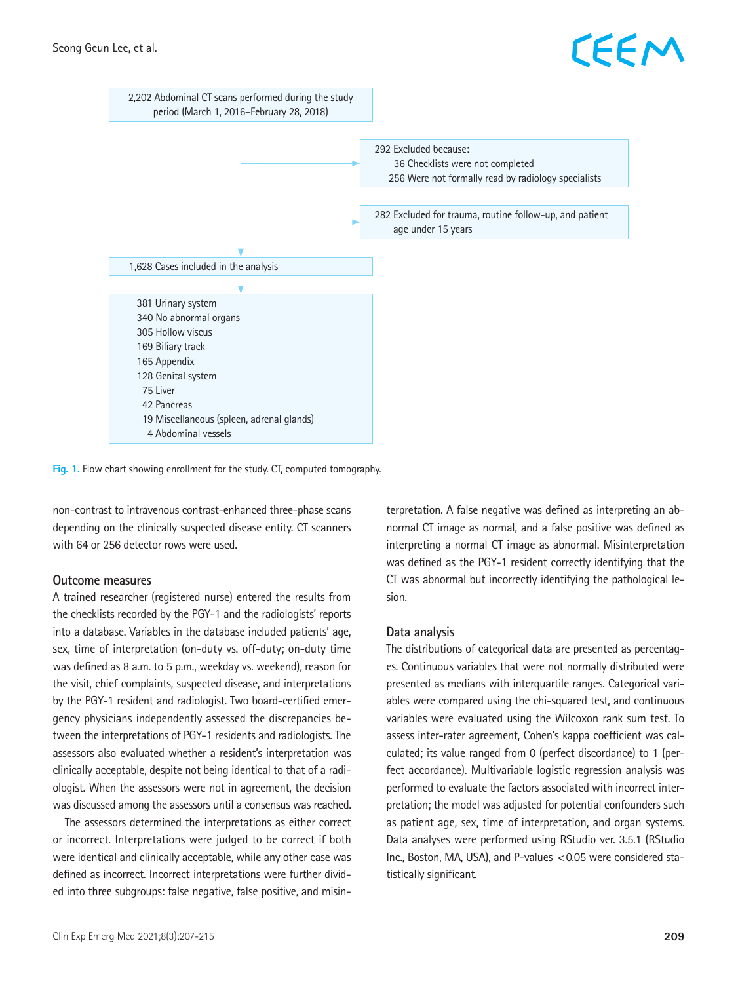## EEM



**Fig. 1.** Flow chart showing enrollment for the study. CT, computed tomography.

non-contrast to intravenous contrast-enhanced three-phase scans depending on the clinically suspected disease entity. CT scanners with 64 or 256 detector rows were used.

### **Outcome measures**

A trained researcher (registered nurse) entered the results from the checklists recorded by the PGY-1 and the radiologists' reports into a database. Variables in the database included patients' age, sex, time of interpretation (on-duty vs. off-duty; on-duty time was defined as 8 a.m. to 5 p.m., weekday vs. weekend), reason for the visit, chief complaints, suspected disease, and interpretations by the PGY-1 resident and radiologist. Two board-certified emergency physicians independently assessed the discrepancies between the interpretations of PGY-1 residents and radiologists. The assessors also evaluated whether a resident's interpretation was clinically acceptable, despite not being identical to that of a radiologist. When the assessors were not in agreement, the decision was discussed among the assessors until a consensus was reached.

The assessors determined the interpretations as either correct or incorrect. Interpretations were judged to be correct if both were identical and clinically acceptable, while any other case was defined as incorrect. Incorrect interpretations were further divided into three subgroups: false negative, false positive, and misinterpretation. A false negative was defined as interpreting an abnormal CT image as normal, and a false positive was defined as interpreting a normal CT image as abnormal. Misinterpretation was defined as the PGY-1 resident correctly identifying that the CT was abnormal but incorrectly identifying the pathological lesion.

### **Data analysis**

The distributions of categorical data are presented as percentages. Continuous variables that were not normally distributed were presented as medians with interquartile ranges. Categorical variables were compared using the chi-squared test, and continuous variables were evaluated using the Wilcoxon rank sum test. To assess inter-rater agreement, Cohen's kappa coefficient was calculated; its value ranged from 0 (perfect discordance) to 1 (perfect accordance). Multivariable logistic regression analysis was performed to evaluate the factors associated with incorrect interpretation; the model was adjusted for potential confounders such as patient age, sex, time of interpretation, and organ systems. Data analyses were performed using RStudio ver. 3.5.1 (RStudio Inc., Boston, MA, USA), and P-values <0.05 were considered statistically significant.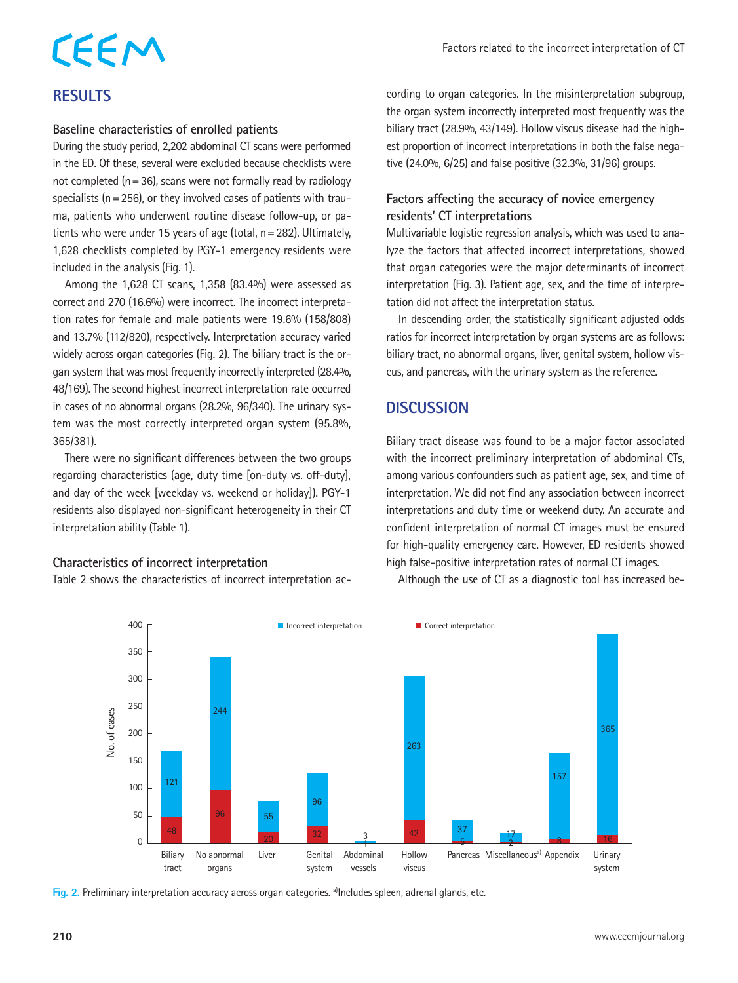## CEEM **RESULTS**

### **Baseline characteristics of enrolled patients**

During the study period, 2,202 abdominal CT scans were performed in the ED. Of these, several were excluded because checklists were not completed ( $n=36$ ), scans were not formally read by radiology specialists ( $n=256$ ), or they involved cases of patients with trauma, patients who underwent routine disease follow-up, or patients who were under 15 years of age (total, n=282). Ultimately, 1,628 checklists completed by PGY-1 emergency residents were included in the analysis (Fig. 1).

Among the 1,628 CT scans, 1,358 (83.4%) were assessed as correct and 270 (16.6%) were incorrect. The incorrect interpretation rates for female and male patients were 19.6% (158/808) and 13.7% (112/820), respectively. Interpretation accuracy varied widely across organ categories (Fig. 2). The biliary tract is the organ system that was most frequently incorrectly interpreted (28.4%, 48/169). The second highest incorrect interpretation rate occurred in cases of no abnormal organs (28.2%, 96/340). The urinary system was the most correctly interpreted organ system (95.8%, 365/381).

There were no significant differences between the two groups regarding characteristics (age, duty time [on-duty vs. off-duty], and day of the week [weekday vs. weekend or holiday]). PGY-1 residents also displayed non-significant heterogeneity in their CT interpretation ability (Table 1).

### **Characteristics of incorrect interpretation**

Table 2 shows the characteristics of incorrect interpretation ac-

cording to organ categories. In the misinterpretation subgroup, the organ system incorrectly interpreted most frequently was the biliary tract (28.9%, 43/149). Hollow viscus disease had the highest proportion of incorrect interpretations in both the false negative (24.0%, 6/25) and false positive (32.3%, 31/96) groups.

### **Factors affecting the accuracy of novice emergency residents' CT interpretations**

Multivariable logistic regression analysis, which was used to analyze the factors that affected incorrect interpretations, showed that organ categories were the major determinants of incorrect interpretation (Fig. 3). Patient age, sex, and the time of interpretation did not affect the interpretation status.

In descending order, the statistically significant adjusted odds ratios for incorrect interpretation by organ systems are as follows: biliary tract, no abnormal organs, liver, genital system, hollow viscus, and pancreas, with the urinary system as the reference.

### **DISCUSSION**

Biliary tract disease was found to be a major factor associated with the incorrect preliminary interpretation of abdominal CTs, among various confounders such as patient age, sex, and time of interpretation. We did not find any association between incorrect interpretations and duty time or weekend duty. An accurate and confident interpretation of normal CT images must be ensured for high-quality emergency care. However, ED residents showed high false-positive interpretation rates of normal CT images.



Although the use of CT as a diagnostic tool has increased be-

Fig. 2. Preliminary interpretation accuracy across organ categories. <sup>a)</sup>Includes spleen, adrenal glands, etc.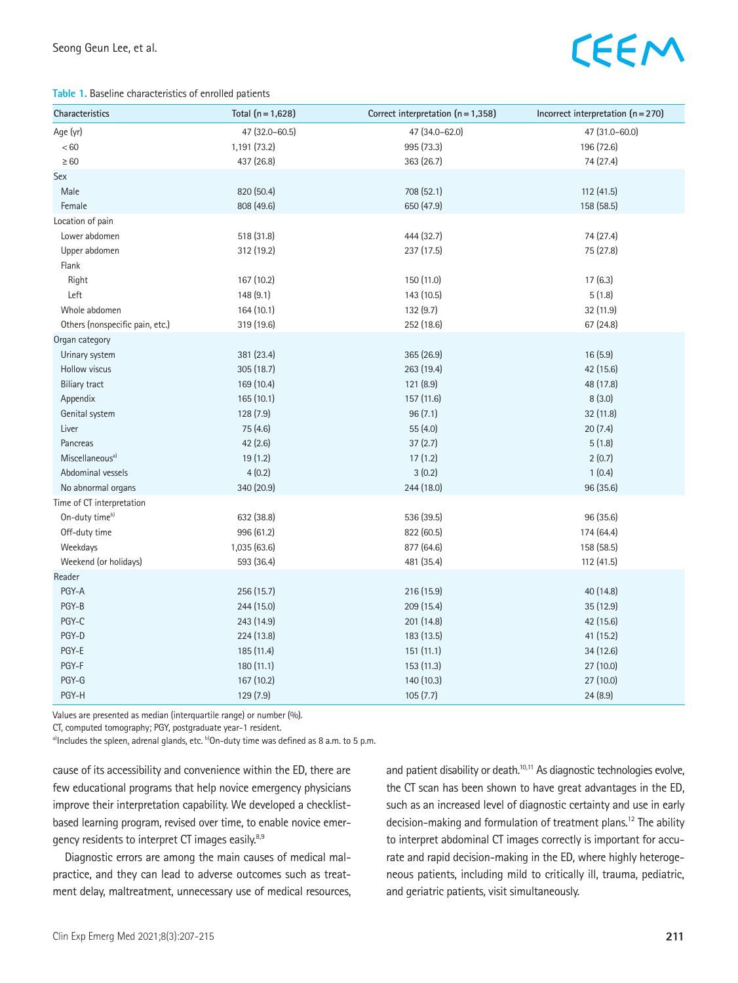### **Table 1.** Baseline characteristics of enrolled patients

| Characteristics                 | Total $(n = 1,628)$ | Correct interpretation (n = 1,358) | Incorrect interpretation $(n=270)$ |
|---------------------------------|---------------------|------------------------------------|------------------------------------|
| Age (yr)                        | 47 (32.0-60.5)      | 47 (34.0-62.0)                     | 47 (31.0-60.0)                     |
| < 60                            | 1,191 (73.2)        | 995 (73.3)                         | 196 (72.6)                         |
| $\geq 60$                       | 437 (26.8)          | 363 (26.7)                         | 74 (27.4)                          |
| Sex                             |                     |                                    |                                    |
| Male                            | 820 (50.4)          | 708 (52.1)                         | 112 (41.5)                         |
| Female                          | 808 (49.6)          | 650 (47.9)                         | 158 (58.5)                         |
| Location of pain                |                     |                                    |                                    |
| Lower abdomen                   | 518 (31.8)          | 444 (32.7)                         | 74 (27.4)                          |
| Upper abdomen                   | 312 (19.2)          | 237 (17.5)                         | 75 (27.8)                          |
| Flank                           |                     |                                    |                                    |
| Right                           | 167 (10.2)          | 150 (11.0)                         | 17(6.3)                            |
| Left                            | 148(9.1)            | 143 (10.5)                         | 5(1.8)                             |
| Whole abdomen                   | 164(10.1)           | 132 (9.7)                          | 32 (11.9)                          |
| Others (nonspecific pain, etc.) | 319 (19.6)          | 252 (18.6)                         | 67(24.8)                           |
| Organ category                  |                     |                                    |                                    |
| Urinary system                  | 381 (23.4)          | 365 (26.9)                         | 16(5.9)                            |
| Hollow viscus                   | 305(18.7)           | 263 (19.4)                         | 42 (15.6)                          |
| <b>Biliary tract</b>            | 169 (10.4)          | 121 (8.9)                          | 48 (17.8)                          |
| Appendix                        | 165 (10.1)          | 157 (11.6)                         | 8(3.0)                             |
| Genital system                  | 128(7.9)            | 96(7.1)                            | 32 (11.8)                          |
| Liver                           | 75 (4.6)            | 55 (4.0)                           | 20(7.4)                            |
| Pancreas                        | 42(2.6)             | 37(2.7)                            | 5(1.8)                             |
| Miscellaneous <sup>a)</sup>     | 19(1.2)             | 17(1.2)                            | 2(0.7)                             |
| Abdominal vessels               | 4(0.2)              | 3(0.2)                             | 1(0.4)                             |
| No abnormal organs              | 340 (20.9)          | 244 (18.0)                         | 96 (35.6)                          |
| Time of CT interpretation       |                     |                                    |                                    |
| On-duty timeb)                  | 632 (38.8)          | 536 (39.5)                         | 96 (35.6)                          |
| Off-duty time                   | 996 (61.2)          | 822 (60.5)                         | 174 (64.4)                         |
| Weekdays                        | 1,035 (63.6)        | 877 (64.6)                         | 158 (58.5)                         |
| Weekend (or holidays)           | 593 (36.4)          | 481 (35.4)                         | 112(41.5)                          |
| Reader                          |                     |                                    |                                    |
| PGY-A                           | 256 (15.7)          | 216 (15.9)                         | 40 (14.8)                          |
| PGY-B                           | 244 (15.0)          | 209 (15.4)                         | 35(12.9)                           |
| PGY-C                           | 243 (14.9)          | 201 (14.8)                         | 42 (15.6)                          |
| PGY-D                           | 224(13.8)           | 183(13.5)                          | 41(15.2)                           |
| PGY-E                           | 185 (11.4)          | 151(11.1)                          | 34(12.6)                           |
| PGY-F                           | 180 (11.1)          | 153 (11.3)                         | 27 (10.0)                          |
| PGY-G                           | 167 (10.2)          | 140 (10.3)                         | 27 (10.0)                          |
| PGY-H                           | 129 (7.9)           | 105(7.7)                           | 24(8.9)                            |

Values are presented as median (interquartile range) or number (%).

CT, computed tomography; PGY, postgraduate year-1 resident.

a)Includes the spleen, adrenal glands, etc.  $b$ On-duty time was defined as 8 a.m. to 5 p.m.

cause of its accessibility and convenience within the ED, there are few educational programs that help novice emergency physicians improve their interpretation capability. We developed a checklistbased learning program, revised over time, to enable novice emergency residents to interpret CT images easily.<sup>8,9</sup>

Diagnostic errors are among the main causes of medical malpractice, and they can lead to adverse outcomes such as treatment delay, maltreatment, unnecessary use of medical resources, and patient disability or death.<sup>10,11</sup> As diagnostic technologies evolve, the CT scan has been shown to have great advantages in the ED, such as an increased level of diagnostic certainty and use in early decision-making and formulation of treatment plans.<sup>12</sup> The ability to interpret abdominal CT images correctly is important for accurate and rapid decision-making in the ED, where highly heterogeneous patients, including mild to critically ill, trauma, pediatric, and geriatric patients, visit simultaneously.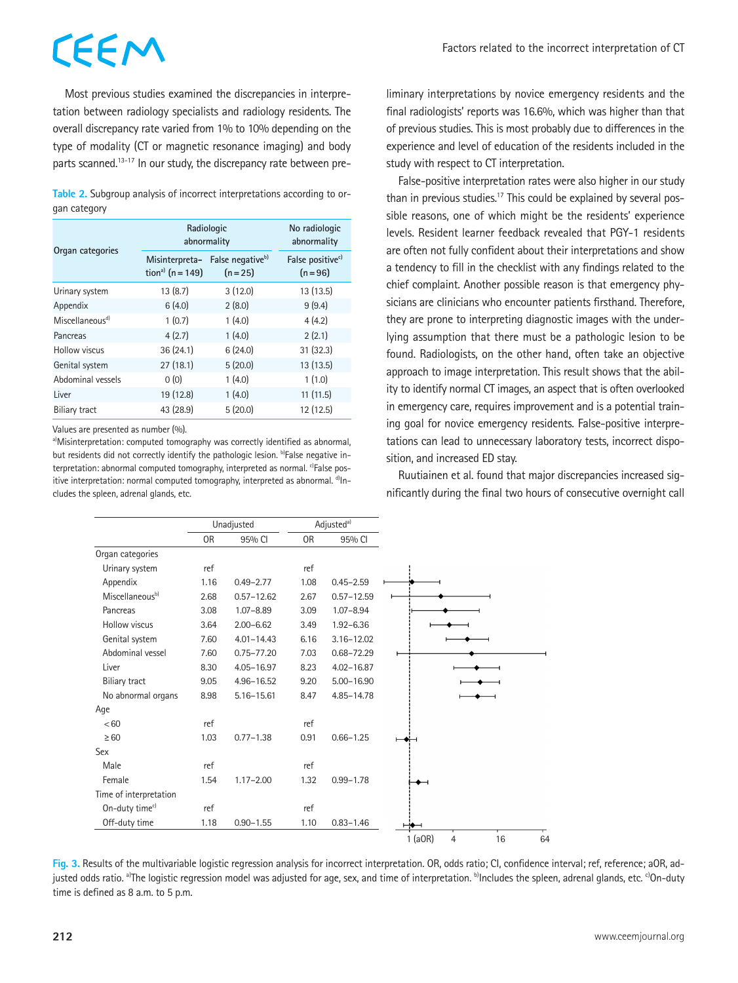Most previous studies examined the discrepancies in interpretation between radiology specialists and radiology residents. The overall discrepancy rate varied from 1% to 10% depending on the type of modality (CT or magnetic resonance imaging) and body parts scanned.<sup>13-17</sup> In our study, the discrepancy rate between pre-

**Table 2.** Subgroup analysis of incorrect interpretations according to organ category

|                             | Radiologic<br>abnormality                          | No radiologic<br>abnormality             |                                            |
|-----------------------------|----------------------------------------------------|------------------------------------------|--------------------------------------------|
| Organ categories            | Misinterpreta-<br>tion <sup>a)</sup> ( $n = 149$ ) | False negative <sup>b)</sup><br>$(n=25)$ | False positive <sup>c)</sup><br>$(n = 96)$ |
| Urinary system              | 13(8.7)                                            | 3(12.0)                                  | 13(13.5)                                   |
| Appendix                    | 6(4.0)                                             | 2(8.0)                                   | 9(9.4)                                     |
| Miscellaneous <sup>d)</sup> | 1(0.7)                                             | 1(4.0)                                   | 4(4.2)                                     |
| Pancreas                    | 4(2.7)                                             | 1(4.0)                                   | 2(2.1)                                     |
| Hollow viscus               | 36(24.1)                                           | 6(24.0)                                  | 31(32.3)                                   |
| Genital system              | 27(18.1)                                           | 5(20.0)                                  | 13(13.5)                                   |
| Abdominal vessels           | 0(0)                                               | 1(4.0)                                   | 1(1.0)                                     |
| Liver                       | 19 (12.8)                                          | 1(4.0)                                   | 11(11.5)                                   |
| Biliary tract               | 43 (28.9)                                          | 5(20.0)                                  | 12 (12.5)                                  |

Values are presented as number (%).

a)Misinterpretation: computed tomography was correctly identified as abnormal, but residents did not correctly identify the pathologic lesion. b)False negative interpretation: abnormal computed tomography, interpreted as normal. <sup>c)</sup>False positive interpretation: normal computed tomography, interpreted as abnormal. d)Includes the spleen, adrenal glands, etc.

liminary interpretations by novice emergency residents and the final radiologists' reports was 16.6%, which was higher than that of previous studies. This is most probably due to differences in the experience and level of education of the residents included in the study with respect to CT interpretation.

False-positive interpretation rates were also higher in our study than in previous studies.<sup>17</sup> This could be explained by several possible reasons, one of which might be the residents' experience levels. Resident learner feedback revealed that PGY-1 residents are often not fully confident about their interpretations and show a tendency to fill in the checklist with any findings related to the chief complaint. Another possible reason is that emergency physicians are clinicians who encounter patients firsthand. Therefore, they are prone to interpreting diagnostic images with the underlying assumption that there must be a pathologic lesion to be found. Radiologists, on the other hand, often take an objective approach to image interpretation. This result shows that the ability to identify normal CT images, an aspect that is often overlooked in emergency care, requires improvement and is a potential training goal for novice emergency residents. False-positive interpretations can lead to unnecessary laboratory tests, incorrect disposition, and increased ED stay.

Ruutiainen et al. found that major discrepancies increased significantly during the final two hours of consecutive overnight call

|                             | Unadjusted |                | Adjusted <sup>a)</sup> |                |                                   |    |
|-----------------------------|------------|----------------|------------------------|----------------|-----------------------------------|----|
|                             | 0R         | 95% CI         | 0 <sub>R</sub>         | 95% CI         |                                   |    |
| Organ categories            |            |                |                        |                |                                   |    |
| Urinary system              | ref        |                | ref                    |                |                                   |    |
| Appendix                    | 1.16       | $0.49 - 2.77$  | 1.08                   | $0.45 - 2.59$  |                                   |    |
| Miscellaneous <sup>b)</sup> | 2.68       | $0.57 - 12.62$ | 2.67                   | $0.57 - 12.59$ |                                   |    |
| Pancreas                    | 3.08       | $1.07 - 8.89$  | 3.09                   | $1.07 - 8.94$  |                                   |    |
| Hollow viscus               | 3.64       | $2.00 - 6.62$  | 3.49                   | $1.92 - 6.36$  |                                   |    |
| Genital system              | 7.60       | $4.01 - 14.43$ | 6.16                   | $3.16 - 12.02$ |                                   |    |
| Abdominal vessel            | 7.60       | $0.75 - 77.20$ | 7.03                   | $0.68 - 72.29$ |                                   |    |
| Liver                       | 8.30       | $4.05 - 16.97$ | 8.23                   | $4.02 - 16.87$ |                                   |    |
| Biliary tract               | 9.05       | 4.96-16.52     | 9.20                   | $5.00 - 16.90$ |                                   |    |
| No abnormal organs          | 8.98       | $5.16 - 15.61$ | 8.47                   | 4.85-14.78     |                                   |    |
| Age                         |            |                |                        |                |                                   |    |
| < 60                        | ref        |                | ref                    |                |                                   |    |
| $\geq 60$                   | 1.03       | $0.77 - 1.38$  | 0.91                   | $0.66 - 1.25$  |                                   |    |
| Sex                         |            |                |                        |                |                                   |    |
| Male                        | ref        |                | ref                    |                |                                   |    |
| Female                      | 1.54       | $1.17 - 2.00$  | 1.32                   | $0.99 - 1.78$  |                                   |    |
| Time of interpretation      |            |                |                        |                |                                   |    |
| On-duty time <sup>c)</sup>  | ref        |                | ref                    |                |                                   |    |
| Off-duty time               | 1.18       | $0.90 - 1.55$  | 1.10                   | $0.83 - 1.46$  |                                   |    |
|                             |            |                |                        |                | $1$ (aOR)<br>$\overline{4}$<br>16 | 64 |

**Fig. 3.** Results of the multivariable logistic regression analysis for incorrect interpretation. OR, odds ratio; CI, confidence interval; ref, reference; aOR, adjusted odds ratio. <sup>a</sup>The logistic regression model was adjusted for age, sex, and time of interpretation. <sup>b</sup>lncludes the spleen, adrenal glands, etc. <sup>c</sup>On-duty time is defined as 8 a.m. to 5 p.m.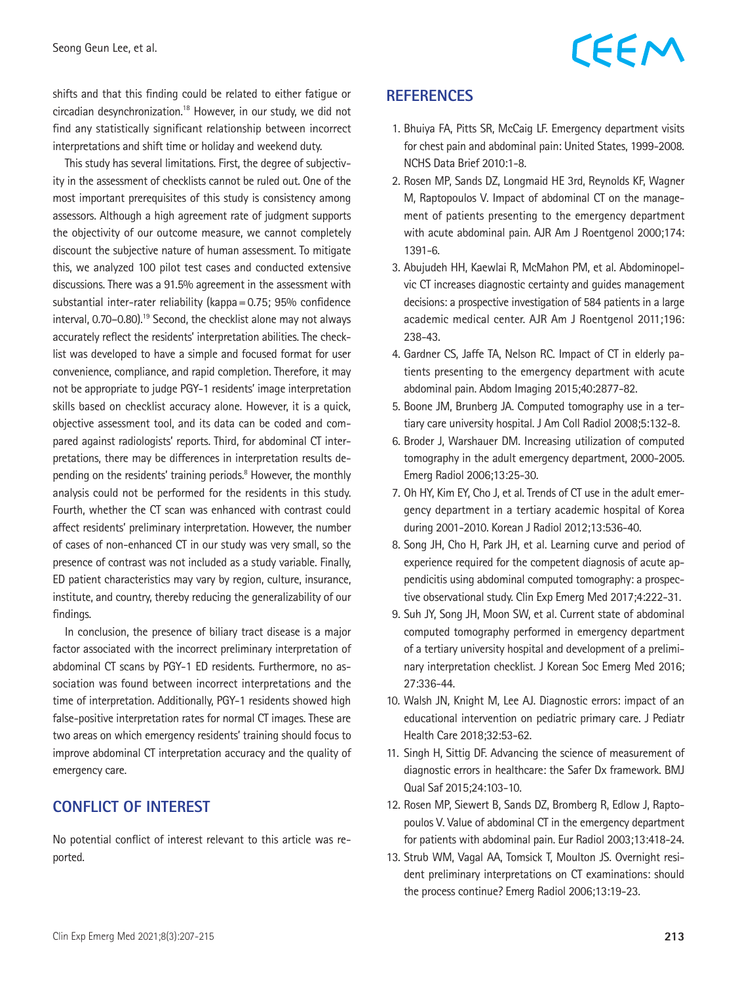shifts and that this finding could be related to either fatigue or circadian desynchronization.18 However, in our study, we did not find any statistically significant relationship between incorrect interpretations and shift time or holiday and weekend duty.

This study has several limitations. First, the degree of subjectivity in the assessment of checklists cannot be ruled out. One of the most important prerequisites of this study is consistency among assessors. Although a high agreement rate of judgment supports the objectivity of our outcome measure, we cannot completely discount the subjective nature of human assessment. To mitigate this, we analyzed 100 pilot test cases and conducted extensive discussions. There was a 91.5% agreement in the assessment with substantial inter-rater reliability (kappa=0.75; 95% confidence interval, 0.70–0.80).<sup>19</sup> Second, the checklist alone may not always accurately reflect the residents' interpretation abilities. The checklist was developed to have a simple and focused format for user convenience, compliance, and rapid completion. Therefore, it may not be appropriate to judge PGY-1 residents' image interpretation skills based on checklist accuracy alone. However, it is a quick, objective assessment tool, and its data can be coded and compared against radiologists' reports. Third, for abdominal CT interpretations, there may be differences in interpretation results depending on the residents' training periods.<sup>8</sup> However, the monthly analysis could not be performed for the residents in this study. Fourth, whether the CT scan was enhanced with contrast could affect residents' preliminary interpretation. However, the number of cases of non-enhanced CT in our study was very small, so the presence of contrast was not included as a study variable. Finally, ED patient characteristics may vary by region, culture, insurance, institute, and country, thereby reducing the generalizability of our findings.

In conclusion, the presence of biliary tract disease is a major factor associated with the incorrect preliminary interpretation of abdominal CT scans by PGY-1 ED residents. Furthermore, no association was found between incorrect interpretations and the time of interpretation. Additionally, PGY-1 residents showed high false-positive interpretation rates for normal CT images. These are two areas on which emergency residents' training should focus to improve abdominal CT interpretation accuracy and the quality of emergency care.

### **CONFLICT OF INTEREST**

No potential conflict of interest relevant to this article was reported.

### **REFERENCES**

- 1. Bhuiya FA, Pitts SR, McCaig LF. Emergency department visits for chest pain and abdominal pain: United States, 1999-2008. NCHS Data Brief 2010:1-8.
- 2. Rosen MP, Sands DZ, Longmaid HE 3rd, Reynolds KF, Wagner M, Raptopoulos V. Impact of abdominal CT on the management of patients presenting to the emergency department with acute abdominal pain. AJR Am J Roentgenol 2000;174: 1391-6.
- 3. Abujudeh HH, Kaewlai R, McMahon PM, et al. Abdominopelvic CT increases diagnostic certainty and guides management decisions: a prospective investigation of 584 patients in a large academic medical center. AJR Am J Roentgenol 2011;196: 238-43.
- 4. Gardner CS, Jaffe TA, Nelson RC. Impact of CT in elderly patients presenting to the emergency department with acute abdominal pain. Abdom Imaging 2015;40:2877-82.
- 5. Boone JM, Brunberg JA. Computed tomography use in a tertiary care university hospital. J Am Coll Radiol 2008;5:132-8.
- 6. Broder J, Warshauer DM. Increasing utilization of computed tomography in the adult emergency department, 2000-2005. Emerg Radiol 2006;13:25-30.
- 7. Oh HY, Kim EY, Cho J, et al. Trends of CT use in the adult emergency department in a tertiary academic hospital of Korea during 2001-2010. Korean J Radiol 2012;13:536-40.
- 8. Song JH, Cho H, Park JH, et al. Learning curve and period of experience required for the competent diagnosis of acute appendicitis using abdominal computed tomography: a prospective observational study. Clin Exp Emerg Med 2017;4:222-31.
- 9. Suh JY, Song JH, Moon SW, et al. Current state of abdominal computed tomography performed in emergency department of a tertiary university hospital and development of a preliminary interpretation checklist. J Korean Soc Emerg Med 2016; 27:336-44.
- 10. Walsh JN, Knight M, Lee AJ. Diagnostic errors: impact of an educational intervention on pediatric primary care. J Pediatr Health Care 2018;32:53-62.
- 11. Singh H, Sittig DF. Advancing the science of measurement of diagnostic errors in healthcare: the Safer Dx framework. BMJ Qual Saf 2015;24:103-10.
- 12. Rosen MP, Siewert B, Sands DZ, Bromberg R, Edlow J, Raptopoulos V. Value of abdominal CT in the emergency department for patients with abdominal pain. Eur Radiol 2003;13:418-24.
- 13. Strub WM, Vagal AA, Tomsick T, Moulton JS. Overnight resident preliminary interpretations on CT examinations: should the process continue? Emerg Radiol 2006;13:19-23.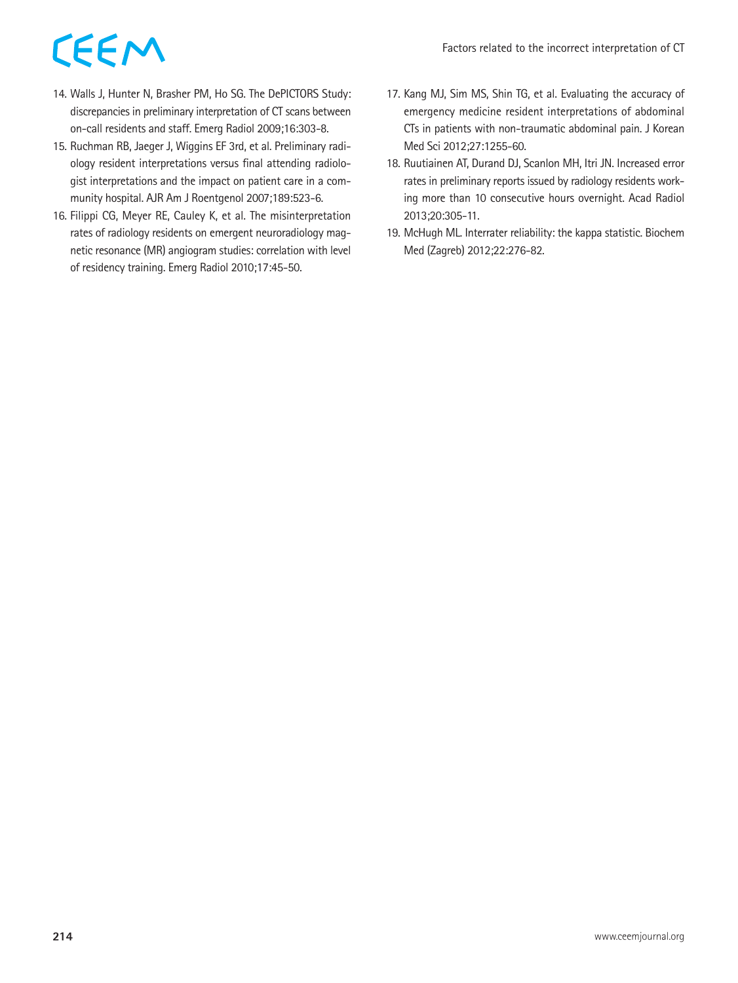- 14. Walls J, Hunter N, Brasher PM, Ho SG. The DePICTORS Study: discrepancies in preliminary interpretation of CT scans between on-call residents and staff. Emerg Radiol 2009;16:303-8.
- 15. Ruchman RB, Jaeger J, Wiggins EF 3rd, et al. Preliminary radiology resident interpretations versus final attending radiologist interpretations and the impact on patient care in a community hospital. AJR Am J Roentgenol 2007;189:523-6.
- 16. Filippi CG, Meyer RE, Cauley K, et al. The misinterpretation rates of radiology residents on emergent neuroradiology magnetic resonance (MR) angiogram studies: correlation with level of residency training. Emerg Radiol 2010;17:45-50.
- 17. Kang MJ, Sim MS, Shin TG, et al. Evaluating the accuracy of emergency medicine resident interpretations of abdominal CTs in patients with non-traumatic abdominal pain. J Korean Med Sci 2012;27:1255-60.
- 18. Ruutiainen AT, Durand DJ, Scanlon MH, Itri JN. Increased error rates in preliminary reports issued by radiology residents working more than 10 consecutive hours overnight. Acad Radiol 2013;20:305-11.
- 19. McHugh ML. Interrater reliability: the kappa statistic. Biochem Med (Zagreb) 2012;22:276-82.